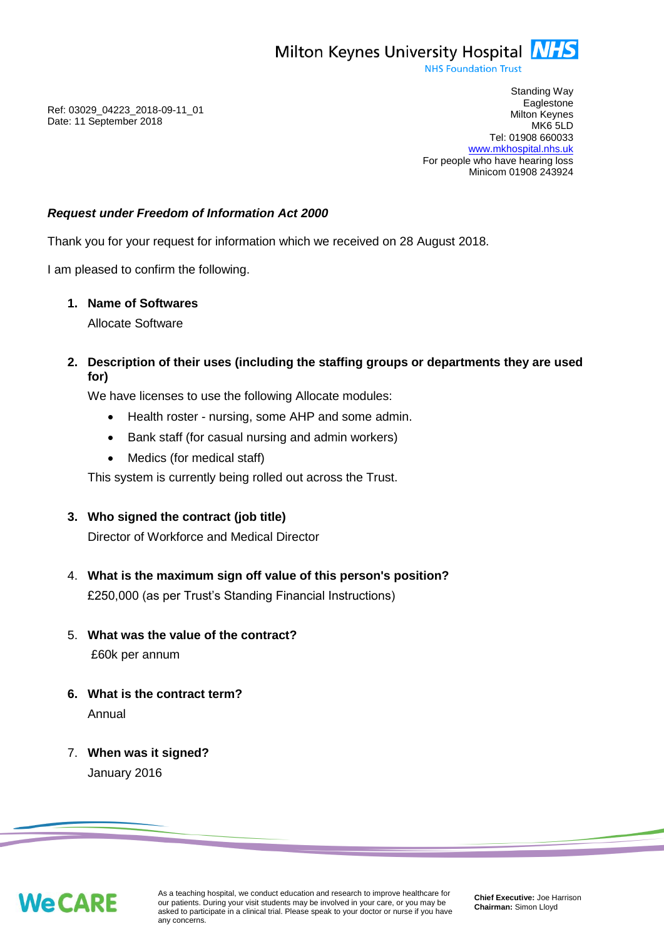

**NHS Foundation Trust** 

Ref: 03029\_04223\_2018-09-11\_01 Date: 11 September 2018

Standing Way **Eaglestone** Milton Keynes MK6 5LD Tel: 01908 660033 [www.mkhospital.nhs.uk](http://www.mkhospital.nhs.uk/) For people who have hearing loss Minicom 01908 243924

### *Request under Freedom of Information Act 2000*

Thank you for your request for information which we received on 28 August 2018.

I am pleased to confirm the following.

#### **1. Name of Softwares**

Allocate Software

**2. Description of their uses (including the staffing groups or departments they are used for)**

We have licenses to use the following Allocate modules:

- Health roster nursing, some AHP and some admin.
- Bank staff (for casual nursing and admin workers)
- Medics (for medical staff)

This system is currently being rolled out across the Trust.

### **3. Who signed the contract (job title)**

Director of Workforce and Medical Director

- 4. **What is the maximum sign off value of this person's position?**  £250,000 (as per Trust's Standing Financial Instructions)
- 5. **What was the value of the contract?** £60k per annum
- **6. What is the contract term?** Annual
- 7. **When was it signed?** January 2016